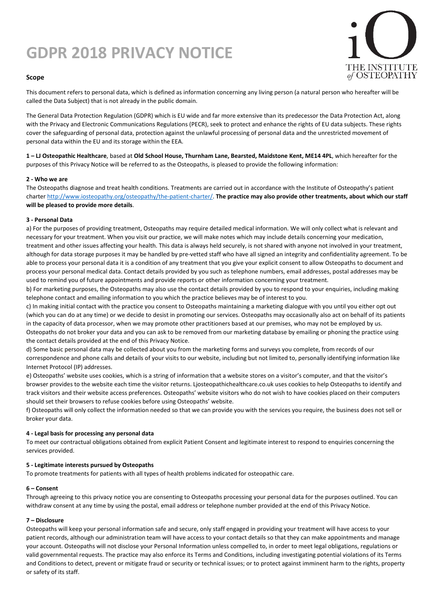# **GDPR 2018 PRIVACY NOTICE**



## **Scope**

This document refers to personal data, which is defined as information concerning any living person (a natural person who hereafter will be called the Data Subject) that is not already in the public domain.

The General Data Protection Regulation (GDPR) which is EU wide and far more extensive than its predecessor the Data Protection Act, along with the Privacy and Electronic Communications Regulations (PECR), seek to protect and enhance the rights of EU data subjects. These rights cover the safeguarding of personal data, protection against the unlawful processing of personal data and the unrestricted movement of personal data within the EU and its storage within the EEA.

**1 – LJ Osteopathic Healthcare**, based at **Old School House, Thurnham Lane, Bearsted, Maidstone Kent, ME14 4PL**, which hereafter for the purposes of this Privacy Notice will be referred to as the Osteopaths, is pleased to provide the following information:

## **2 - Who we are**

The Osteopaths diagnose and treat health conditions. Treatments are carried out in accordance with the Institute of Osteopathy's patient charte[r http://www.iosteopathy.org/osteopathy/the-patient-charter/.](http://www.iosteopathy.org/osteopathy/the-patient-charter/) **The practice may also provide other treatments, about which our staff will be pleased to provide more details**.

## **3 - Personal Data**

a) For the purposes of providing treatment, Osteopaths may require detailed medical information. We will only collect what is relevant and necessary for your treatment. When you visit our practice, we will make notes which may include details concerning your medication, treatment and other issues affecting your health. This data is always held securely, is not shared with anyone not involved in your treatment, although for data storage purposes it may be handled by pre-vetted staff who have all signed an integrity and confidentiality agreement. To be able to process your personal data it is a condition of any treatment that you give your explicit consent to allow Osteopaths to document and process your personal medical data. Contact details provided by you such as telephone numbers, email addresses, postal addresses may be used to remind you of future appointments and provide reports or other information concerning your treatment.

b) For marketing purposes, the Osteopaths may also use the contact details provided by you to respond to your enquiries, including making telephone contact and emailing information to you which the practice believes may be of interest to you.

c) In making initial contact with the practice you consent to Osteopaths maintaining a marketing dialogue with you until you either opt out (which you can do at any time) or we decide to desist in promoting our services. Osteopaths may occasionally also act on behalf of its patients in the capacity of data processor, when we may promote other practitioners based at our premises, who may not be employed by us. Osteopaths do not broker your data and you can ask to be removed from our marketing database by emailing or phoning the practice using the contact details provided at the end of this Privacy Notice.

d) Some basic personal data may be collected about you from the marketing forms and surveys you complete, from records of our correspondence and phone calls and details of your visits to our website, including but not limited to, personally identifying information like Internet Protocol (IP) addresses.

e) Osteopaths' website uses cookies, which is a string of information that a website stores on a visitor's computer, and that the visitor's browser provides to the website each time the visitor returns. Ljosteopathichealthcare.co.uk uses cookies to help Osteopaths to identify and track visitors and their website access preferences. Osteopaths' website visitors who do not wish to have cookies placed on their computers should set their browsers to refuse cookies before using Osteopaths' website.

f) Osteopaths will only collect the information needed so that we can provide you with the services you require, the business does not sell or broker your data.

## **4 - Legal basis for processing any personal data**

To meet our contractual obligations obtained from explicit Patient Consent and legitimate interest to respond to enquiries concerning the services provided.

## **5 - Legitimate interests pursued by Osteopaths**

To promote treatments for patients with all types of health problems indicated for osteopathic care.

## **6 – Consent**

Through agreeing to this privacy notice you are consenting to Osteopaths processing your personal data for the purposes outlined. You can withdraw consent at any time by using the postal, email address or telephone number provided at the end of this Privacy Notice.

## **7 – Disclosure**

Osteopaths will keep your personal information safe and secure, only staff engaged in providing your treatment will have access to your patient records, although our administration team will have access to your contact details so that they can make appointments and manage your account. Osteopaths will not disclose your Personal Information unless compelled to, in order to meet legal obligations, regulations or valid governmental requests. The practice may also enforce its Terms and Conditions, including investigating potential violations of its Terms and Conditions to detect, prevent or mitigate fraud or security or technical issues; or to protect against imminent harm to the rights, property or safety of its staff.